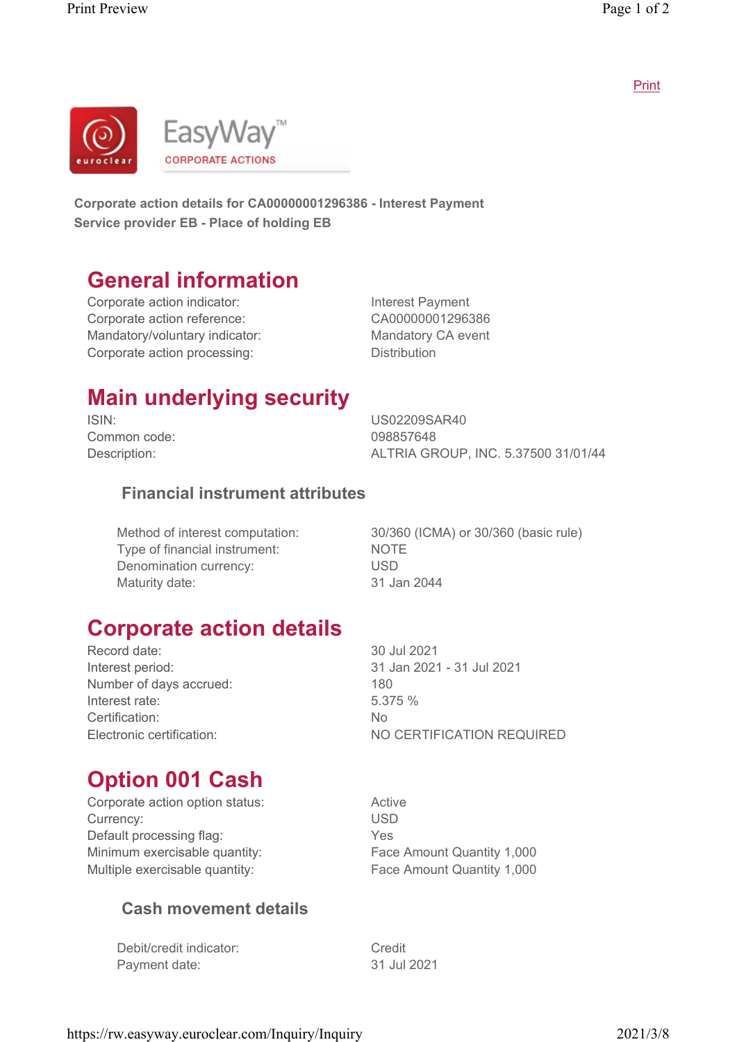Print



Corporate action details for CA00000001296386 - Interest Payment Service provider EB - Place of holding EB

### General information

Corporate action indicator: Interest Payment Corporate action reference: CA00000001296386 Mandatory/voluntary indicator: Mandatory CA event Corporate action processing: The Distribution

# Main underlying security

Common code: 098857648

ISIN: US02209SAR40 Description: ALTRIA GROUP, INC. 5.37500 31/01/44

#### Financial instrument attributes

Type of financial instrument: NOTE Denomination currency: USD Maturity date: 31 Jan 2044

Method of interest computation: 30/360 (ICMA) or 30/360 (basic rule)

#### Corporate action details

Record date: 30 Jul 2021 Interest period: 31 Jan 2021 - 31 Jul 2021 Number of days accrued: 180 Interest rate: 5.375 % Certification: No

Electronic certification: NO CERTIFICATION REQUIRED

# Option 001 Cash

Corporate action option status: The Matrice Active Currency: USD Default processing flag: The Manuscript of the Yes Minimum exercisable quantity: Face Amount Quantity 1,000 Multiple exercisable quantity: Face Amount Quantity 1,000

#### Cash movement details

Debit/credit indicator: Credit Payment date: 31 Jul 2021